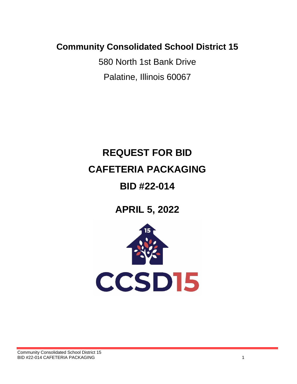## **Community Consolidated School District 15**

580 North 1st Bank Drive Palatine, Illinois 60067

# **REQUEST FOR BID CAFETERIA PACKAGING**

## **BID #22-014**

## **APRIL 5, 2022**

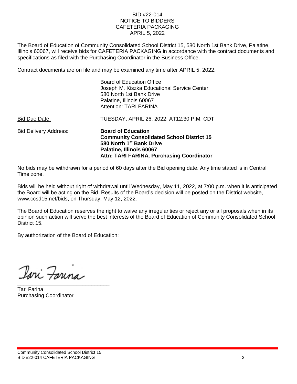#### BID #22-014 NOTICE TO BIDDERS CAFETERIA PACKAGING APRIL 5, 2022

The Board of Education of Community Consolidated School District 15, 580 North 1st Bank Drive, Palatine, Illinois 60067, will receive bids for CAFETERIA PACKAGING in accordance with the contract documents and specifications as filed with the Purchasing Coordinator in the Business Office.

Contract documents are on file and may be examined any time after APRIL 5, 2022.

Board of Education Office Joseph M. Kiszka Educational Service Center 580 North 1st Bank Drive Palatine, Illinois 60067 Attention: TARI FARINA

| Bid Due Date:                | TUESDAY, APRIL 26, 2022, AT12:30 P.M. CDT                                                                                                                                                      |
|------------------------------|------------------------------------------------------------------------------------------------------------------------------------------------------------------------------------------------|
| <b>Bid Delivery Address:</b> | <b>Board of Education</b><br><b>Community Consolidated School District 15</b><br>580 North 1 <sup>st</sup> Bank Drive<br>Palatine, Illinois 60067<br>Attn: TARI FARINA, Purchasing Coordinator |

No bids may be withdrawn for a period of 60 days after the Bid opening date. Any time stated is in Central Time zone.

Bids will be held without right of withdrawal until Wednesday, May 11, 2022, at 7:00 p.m. when it is anticipated the Board will be acting on the Bid. Results of the Board's decision will be posted on the District website, www.ccsd15.net/bids, on Thursday, May 12, 2022.

The Board of Education reserves the right to waive any irregularities or reject any or all proposals when in its opinion such action will serve the best interests of the Board of Education of Community Consolidated School District 15.

By authorization of the Board of Education:

Iari Farina \_\_\_\_\_\_\_\_\_\_\_\_\_\_\_\_\_\_\_\_\_\_\_\_\_\_\_\_\_\_\_

Tari Farina Purchasing Coordinator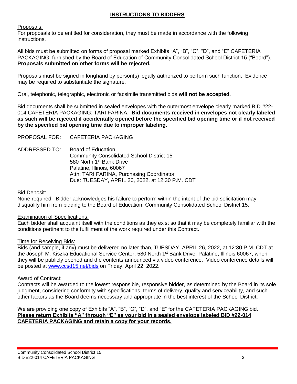#### **INSTRUCTIONS TO BIDDERS**

#### Proposals:

For proposals to be entitled for consideration, they must be made in accordance with the following instructions.

All bids must be submitted on forms of proposal marked Exhibits "A", "B", "C", "D", and "E" CAFETERIA PACKAGING, furnished by the Board of Education of Community Consolidated School District 15 ("Board"). **Proposals submitted on other forms will be rejected.**

Proposals must be signed in longhand by person(s) legally authorized to perform such function. Evidence may be required to substantiate the signature.

Oral, telephonic, telegraphic, electronic or facsimile transmitted bids **will not be accepted**.

Bid documents shall be submitted in sealed envelopes with the outermost envelope clearly marked BID #22- 014 CAFETERIA PACKAGING: TARI FARINA. **Bid documents received in envelopes not clearly labeled as such will be rejected if accidentally opened before the specified bid opening time or if not received by the specified bid opening time due to improper labeling.**

- PROPOSAL FOR: CAFETERIA PACKAGING
- ADDRESSED TO: Board of Education Community Consolidated School District 15 580 North 1<sup>st</sup> Bank Drive Palatine, Illinois, 60067 Attn: TARI FARINA, Purchasing Coordinator Due: TUESDAY, APRIL 26, 2022, at 12:30 P.M. CDT

#### Bid Deposit:

None required. Bidder acknowledges his failure to perform within the intent of the bid solicitation may disqualify him from bidding to the Board of Education, Community Consolidated School District 15.

#### Examination of Specifications:

Each bidder shall acquaint itself with the conditions as they exist so that it may be completely familiar with the conditions pertinent to the fulfillment of the work required under this Contract.

#### Time for Receiving Bids:

Bids (and sample, if any) must be delivered no later than, TUESDAY, APRIL 26, 2022, at 12:30 P.M. CDT at the Joseph M. Kiszka Educational Service Center, 580 North 1<sup>st</sup> Bank Drive, Palatine, Illinois 60067, when they will be publicly opened and the contents announced via video conference. Video conference details will be posted at [www.ccsd15.net/bids](http://www.ccsd15.net/bids) on Friday, April 22, 2022.

#### Award of Contract:

Contracts will be awarded to the lowest responsible, responsive bidder, as determined by the Board in its sole judgment, considering conformity with specifications, terms of delivery, quality and serviceability, and such other factors as the Board deems necessary and appropriate in the best interest of the School District.

We are providing one copy of Exhibits "A", "B", "C", "D", and "E" for the CAFETERIA PACKAGING bid. **Please return Exhibits "A" through "E" as your bid in a sealed envelope labeled BID #22-014 CAFETERIA PACKAGING and retain a copy for your records.**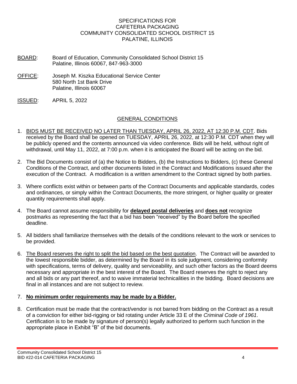#### SPECIFICATIONS FOR CAFETERIA PACKAGING COMMUNITY CONSOLIDATED SCHOOL DISTRICT 15 PALATINE, ILLINOIS

- BOARD: Board of Education, Community Consolidated School District 15 Palatine, Illinois 60067, 847-963-3000
- OFFICE: Joseph M. Kiszka Educational Service Center 580 North 1st Bank Drive Palatine, Illinois 60067
- ISSUED: APRIL 5, 2022

#### GENERAL CONDITIONS

- 1. BIDS MUST BE RECEIVED NO LATER THAN TUESDAY, APRIL 26, 2022, AT 12:30 P.M. CDT. Bids received by the Board shall be opened on TUESDAY, APRIL 26, 2022, at 12:30 P.M. CDT when they will be publicly opened and the contents announced via video conference. Bids will be held, without right of withdrawal, until May 11, 2022, at 7:00 p.m. when it is anticipated the Board will be acting on the bid.
- 2. The Bid Documents consist of (a) the Notice to Bidders, (b) the Instructions to Bidders, (c) these General Conditions of the Contract, and other documents listed in the Contract and Modifications issued after the execution of the Contract. A modification is a written amendment to the Contract signed by both parties.
- 3. Where conflicts exist within or between parts of the Contract Documents and applicable standards, codes and ordinances, or simply within the Contract Documents, the more stringent, or higher quality or greater quantity requirements shall apply.
- 4. The Board cannot assume responsibility for **delayed postal deliveries** and **does not** recognize postmarks as representing the fact that a bid has been "received" by the Board before the specified deadline.
- 5. All bidders shall familiarize themselves with the details of the conditions relevant to the work or services to be provided.
- 6. The Board reserves the right to split the bid based on the best quotation. The Contract will be awarded to the lowest responsible bidder, as determined by the Board in its sole judgment, considering conformity with specifications, terms of delivery, quality and serviceability, and such other factors as the Board deems necessary and appropriate in the best interest of the Board. The Board reserves the right to reject any and all bids or any part thereof, and to waive immaterial technicalities in the bidding. Board decisions are final in all instances and are not subject to review.

#### 7. **No minimum order requirements may be made by a Bidder.**

8. Certification must be made that the contract/vendor is not barred from bidding on the Contract as a result of a conviction for either bid-rigging or bid rotating under Article 33 E of the *Criminal Code of 1961*. Certification is to be made by signature of person(s) legally authorized to perform such function in the appropriate place in Exhibit "B" of the bid documents.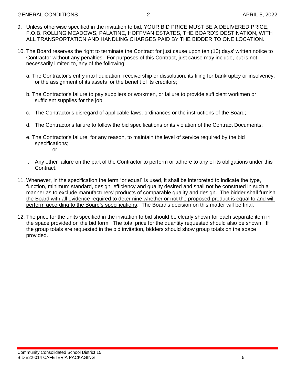- 9. Unless otherwise specified in the invitation to bid, YOUR BID PRICE MUST BE A DELIVERED PRICE, F.O.B. ROLLING MEADOWS, PALATINE, HOFFMAN ESTATES, THE BOARD'S DESTINATION, WITH ALL TRANSPORTATION AND HANDLING CHARGES PAID BY THE BIDDER TO ONE LOCATION.
- 10. The Board reserves the right to terminate the Contract for just cause upon ten (10) days' written notice to Contractor without any penalties. For purposes of this Contract, just cause may include, but is not necessarily limited to, any of the following:
	- a. The Contractor's entry into liquidation, receivership or dissolution, its filing for bankruptcy or insolvency, or the assignment of its assets for the benefit of its creditors;
	- b. The Contractor's failure to pay suppliers or workmen, or failure to provide sufficient workmen or sufficient supplies for the job;
	- c. The Contractor's disregard of applicable laws, ordinances or the instructions of the Board;
	- d. The Contractor's failure to follow the bid specifications or its violation of the Contract Documents;
	- e. The Contractor's failure, for any reason, to maintain the level of service required by the bid specifications; or
	- f. Any other failure on the part of the Contractor to perform or adhere to any of its obligations under this Contract.
- 11. Whenever, in the specification the term "or equal" is used, it shall be interpreted to indicate the type, function, minimum standard, design, efficiency and quality desired and shall not be construed in such a manner as to exclude manufacturers' products of comparable quality and design. The bidder shall furnish the Board with all evidence required to determine whether or not the proposed product is equal to and will perform according to the Board's specifications. The Board's decision on this matter will be final.
- 12. The price for the units specified in the invitation to bid should be clearly shown for each separate item in the space provided on the bid form. The total price for the quantity requested should also be shown. If the group totals are requested in the bid invitation, bidders should show group totals on the space provided.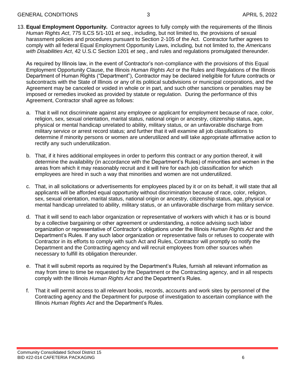13. **Equal Employment Opportunity.** Contractor agrees to fully comply with the requirements of the Illinois *Human Rights Act*, 775 ILCS 5/1-101 *et seq*., including, but not limited to, the provisions of sexual harassment policies and procedures pursuant to Section 2-105 of the Act. Contractor further agrees to comply with all federal Equal Employment Opportunity Laws, including, but not limited to, the *Americans with Disabilities Act*, 42 U.S.C Section 1201 *et seq*., and rules and regulations promulgated thereunder.

As required by Illinois law, in the event of Contractor's non-compliance with the provisions of this Equal Employment Opportunity Clause, the Illinois *Human Rights Act* or the Rules and Regulations of the Illinois Department of Human Rights ("Department"), Contractor may be declared ineligible for future contracts or subcontracts with the State of Illinois or any of its political subdivisions or municipal corporations, and the Agreement may be canceled or voided in whole or in part, and such other sanctions or penalties may be imposed or remedies invoked as provided by statute or regulation. During the performance of this Agreement, Contractor shall agree as follows:

- a. That it will not discriminate against any employee or applicant for employment because of race, color, religion, sex, sexual orientation, marital status, national origin or ancestry, citizenship status, age, physical or mental handicap unrelated to ability, military status, or an unfavorable discharge from military service or arrest record status; and further that it will examine all job classifications to determine if minority persons or women are underutilized and will take appropriate affirmative action to rectify any such underutilization.
- b. That, if it hires additional employees in order to perform this contract or any portion thereof, it will determine the availability (in accordance with the Department's Rules) of minorities and women in the areas from which it may reasonably recruit and it will hire for each job classification for which employees are hired in such a way that minorities and women are not underutilized.
- c. That, in all solicitations or advertisements for employees placed by it or on its behalf, it will state that all applicants will be afforded equal opportunity without discrimination because of race, color, religion, sex, sexual orientation, marital status, national origin or ancestry, citizenship status, age, physical or mental handicap unrelated to ability, military status, or an unfavorable discharge from military service.
- d. That it will send to each labor organization or representative of workers with which it has or is bound by a collective bargaining or other agreement or understanding, a notice advising such labor organization or representative of Contractor's obligations under the Illinois *Human Rights Act* and the Department's Rules. If any such labor organization or representative fails or refuses to cooperate with Contractor in its efforts to comply with such Act and Rules, Contractor will promptly so notify the Department and the Contracting agency and will recruit employees from other sources when necessary to fulfill its obligation thereunder.
- e. That it will submit reports as required by the Department's Rules, furnish all relevant information as may from time to time be requested by the Department or the Contracting agency, and in all respects comply with the Illinois *Human Rights Act* and the Department's Rules.
- f. That it will permit access to all relevant books, records, accounts and work sites by personnel of the Contracting agency and the Department for purpose of investigation to ascertain compliance with the Illinois *Human Rights Act* and the Department's Rules.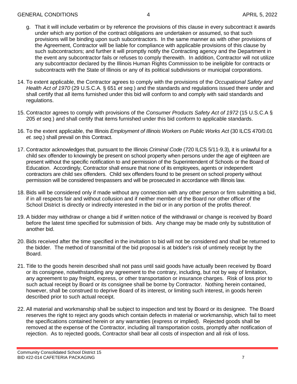- g. That it will include verbatim or by reference the provisions of this clause in every subcontract it awards under which any portion of the contract obligations are undertaken or assumed, so that such provisions will be binding upon such subcontractors. In the same manner as with other provisions of the Agreement, Contractor will be liable for compliance with applicable provisions of this clause by such subcontractors; and further it will promptly notify the Contracting agency and the Department in the event any subcontractor fails or refuses to comply therewith. In addition, Contractor will not utilize any subcontractor declared by the Illinois Human Rights Commission to be ineligible for contracts or subcontracts with the State of Illinois or any of its political subdivisions or municipal corporations.
- 14. To extent applicable, the Contractor agrees to comply with the provisions of the *Occupational Safety and Health Act of 1970* (29 U.S.C.A. § 651 *et seq.*) and the standards and regulations issued there under and shall certify that all items furnished under this bid will conform to and comply with said standards and regulations.
- 15. Contractor agrees to comply with provisions of the *Consumer Products Safety Act of 1972* (15 U.S.C.A § 205 *et seq.*) and shall certify that items furnished under this bid conform to applicable standards.
- 16. To the extent applicable, the Illinois *Employment of Illinois Workers on Public Works Act* (30 ILCS 470/0.01 *et. seq*.) shall prevail on this Contract.
- 17. Contractor acknowledges that, pursuant to the Illinois *Criminal Code* (720 ILCS 5/11-9.3), it is unlawful for a child sex offender to knowingly be present on school property when persons under the age of eighteen are present without the specific notification to and permission of the Superintendent of Schools or the Board of Education. Accordingly, Contractor shall ensure that none of its employees, agents or independent contractors are child sex offenders. Child sex offenders found to be present on school property without permission will be considered trespassers and will be prosecuted in accordance with Illinois law.
- 18. Bids will be considered only if made without any connection with any other person or firm submitting a bid, if in all respects fair and without collusion and if neither member of the Board nor other officer of the School District is directly or indirectly interested in the bid or in any portion of the profits thereof.
- 19. A bidder may withdraw or change a bid if written notice of the withdrawal or change is received by Board before the latest time specified for submission of bids. Any change may be made only by substitution of another bid.
- 20. Bids received after the time specified in the invitation to bid will not be considered and shall be returned to the bidder. The method of transmittal of the bid proposal is at bidder's risk of untimely receipt by the Board.
- 21. Title to the goods herein described shall not pass until said goods have actually been received by Board or its consignee, notwithstanding any agreement to the contrary, including, but not by way of limitation, any agreement to pay freight, express, or other transportation or insurance charges. Risk of loss prior to such actual receipt by Board or its consignee shall be borne by Contractor. Nothing herein contained, however, shall be construed to deprive Board of its interest, or limiting such interest, in goods herein described prior to such actual receipt.
- 22. All material and workmanship shall be subject to inspection and test by Board or its designee. The Board reserves the right to reject any goods which contain defects in material or workmanship, which fail to meet the specifications contained herein or any warranties (express or implied). Rejected goods shall be removed at the expense of the Contractor, including all transportation costs, promptly after notification of rejection. As to rejected goods, Contractor shall bear all costs of inspection and all risk of loss.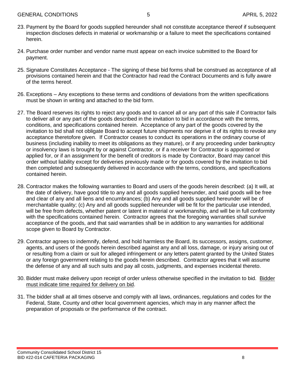- 23. Payment by the Board for goods supplied hereunder shall not constitute acceptance thereof if subsequent inspection discloses defects in material or workmanship or a failure to meet the specifications contained herein.
- 24. Purchase order number and vendor name must appear on each invoice submitted to the Board for payment.
- 25. Signature Constitutes Acceptance The signing of these bid forms shall be construed as acceptance of all provisions contained herein and that the Contractor had read the Contract Documents and is fully aware of the terms hereof.
- 26. Exceptions Any exceptions to these terms and conditions of deviations from the written specifications must be shown in writing and attached to the bid form.
- 27. The Board reserves its rights to reject any goods and to cancel all or any part of this sale if Contractor fails to deliver all or any part of the goods described in the invitation to bid in accordance with the terms, conditions, and specifications contained herein. Acceptance of any part of the goods covered by the invitation to bid shall not obligate Board to accept future shipments nor deprive it of its rights to revoke any acceptance theretofore given. If Contractor ceases to conduct its operations in the ordinary course of business (including inability to meet its obligations as they mature), or if any proceeding under bankruptcy or insolvency laws is brought by or against Contractor, or if a receiver for Contractor is appointed or applied for, or if an assignment for the benefit of creditors is made by Contractor, Board may cancel this order without liability except for deliveries previously made or for goods covered by the invitation to bid then completed and subsequently delivered in accordance with the terms, conditions, and specifications contained herein.
- 28. Contractor makes the following warranties to Board and users of the goods herein described: (a) It will, at the date of delivery, have good title to any and all goods supplied hereunder, and said goods will be free and clear of any and all liens and encumbrances; (b) Any and all goods supplied hereunder will be of merchantable quality; (c) Any and all goods supplied hereunder will be fit for the particular use intended, will be free from defects, whether patent or latent in material or workmanship, and will be in full conformity with the specifications contained herein. Contractor agrees that the foregoing warranties shall survive acceptance of the goods, and that said warranties shall be in addition to any warranties for additional scope given to Board by Contractor.
- 29. Contractor agrees to indemnify, defend, and hold harmless the Board, its successors, assigns, customer, agents, and users of the goods herein described against any and all loss, damage, or injury arising out of or resulting from a claim or suit for alleged infringement or any letters patent granted by the United States or any foreign government relating to the goods herein described. Contractor agrees that it will assume the defense of any and all such suits and pay all costs, judgments, and expenses incidental thereto.
- 30. Bidder must make delivery upon receipt of order unless otherwise specified in the invitation to bid. Bidder must indicate time required for delivery on bid.
- 31. The bidder shall at all times observe and comply with all laws, ordinances, regulations and codes for the Federal, State, County and other local government agencies, which may in any manner affect the preparation of proposals or the performance of the contract.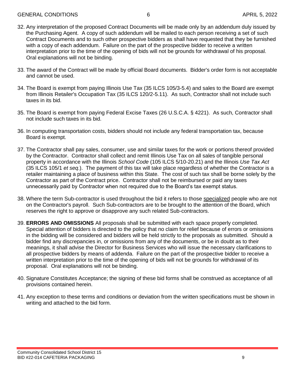- 32. Any interpretation of the proposed Contract Documents will be made only by an addendum duly issued by the Purchasing Agent. A copy of such addendum will be mailed to each person receiving a set of such Contract Documents and to such other prospective bidders as shall have requested that they be furnished with a copy of each addendum. Failure on the part of the prospective bidder to receive a written interpretation prior to the time of the opening of bids will not be grounds for withdrawal of his proposal. Oral explanations will not be binding.
- 33. The award of the Contract will be made by official Board documents. Bidder's order form is not acceptable and cannot be used.
- 34. The Board is exempt from paying Illinois Use Tax (35 ILCS 105/3-5.4) and sales to the Board are exempt from Illinois Retailer's Occupation Tax (35 ILCS 120/2-5.11). As such, Contractor shall not include such taxes in its bid.
- 35. The Board is exempt from paying Federal Excise Taxes (26 U.S.C.A. § 4221). As such, Contractor shall not include such taxes in its bid.
- 36. In computing transportation costs, bidders should not include any federal transportation tax, because Board is exempt.
- 37. The Contractor shall pay sales, consumer, use and similar taxes for the work or portions thereof provided by the Contractor. Contractor shall collect and remit Illinois Use Tax on all sales of tangible personal property in accordance with the Illinois *School Code* (105 ILCS 5/10-20.21) and the Illinois *Use Tax Act* (35 ILCS 105/1 *et seq*.). The payment of this tax will take place regardless of whether the Contractor is a retailer maintaining a place of business within this State. The cost of such tax shall be borne solely by the Contractor as part of the Contract price. Contractor shall not be reimbursed or paid any taxes unnecessarily paid by Contractor when not required due to the Board's tax exempt status.
- 38. Where the term Sub-contractor is used throughout the bid it refers to those specialized people who are not on the Contractor's payroll. Such Sub-contractors are to be brought to the attention of the Board, which reserves the right to approve or disapprove any such related Sub-contractors.
- 39. **ERRORS AND OMISSIONS** All proposals shall be submitted with each space properly completed. Special attention of bidders is directed to the policy that no claim for relief because of errors or omissions in the bidding will be considered and bidders will be held strictly to the proposals as submitted. Should a bidder find any discrepancies in, or omissions from any of the documents, or be in doubt as to their meanings, it shall advise the Director for Business Services who will issue the necessary clarifications to all prospective bidders by means of addenda. Failure on the part of the prospective bidder to receive a written interpretation prior to the time of the opening of bids will not be grounds for withdrawal of its proposal. Oral explanations will not be binding.
- 40. Signature Constitutes Acceptance; the signing of these bid forms shall be construed as acceptance of all provisions contained herein.
- 41. Any exception to these terms and conditions or deviation from the written specifications must be shown in writing and attached to the bid form.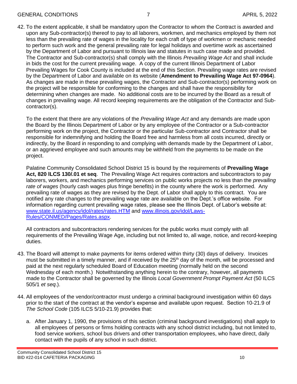42. To the extent applicable, it shall be mandatory upon the Contractor to whom the Contract is awarded and upon any Sub-contractor(s) thereof to pay to all laborers, workmen, and mechanics employed by them not less than the prevailing rate of wages in the locality for each craft of type of workmen or mechanic needed to perform such work and the general prevailing rate for legal holidays and overtime work as ascertained by the Department of Labor and pursuant to Illinois law and statutes in such case made and provided. The Contractor and Sub-contractor(s) shall comply with the Illinois *Prevailing Wage Act* and shall include in bids the cost for the current prevailing wage. A copy of the current Illinois Department of Labor Prevailing Wages for Cook County is included at the end of this Section. Prevailing wage rates are revised by the Department of Labor and available on its website (**Amendment to Prevailing Wage Act 97-0964**). As changes are made in these prevailing wages, the Contractor and Sub-contractor(s) performing work on the project will be responsible for conforming to the changes and shall have the responsibility for determining when changes are made. No additional costs are to be incurred by the Board as a result of changes in prevailing wage. All record keeping requirements are the obligation of the Contractor and Subcontractor(s).

To the extent that there are any violations of the *Prevailing Wage Act* and any demands are made upon the Board by the Illinois Department of Labor or by any employee of the Contractor or a Sub-contractor performing work on the project, the Contractor or the particular Sub-contractor and Contractor shall be responsible for indemnifying and holding the Board free and harmless from all costs incurred, directly or indirectly, by the Board in responding to and complying with demands made by the Department of Labor, or an aggrieved employee and such amounts may be withheld from the payments to be made on the project.

Palatine Community Consolidated School District 15 is bound by the requirements of **Prevailing Wage Act, 820 lLCS 130/.01 et seq**. The Prevailing Wage Act requires contractors and subcontractors to pay laborers, workers, and mechanics performing services on public works projects no less than the *prevailing rate of wages* (hourly cash wages plus fringe benefits) in the county where the work is performed. Any prevailing rate of wages as they are revised by the Dept. of Labor shall apply to this contract. You are notified any rate changes to the prevailing wage rate are available on the Dept.'s office website. For information regarding current prevailing wage rates, please see the Illinois Dept. of Labor's website at: [www.state.il.us/agency/idol/rates/rates.HTM](http://www.state.il.us/agency/idol/rates/rates.HTM) and [www.illinois.gov/idol/Laws-](http://www.illinois.gov/idol/Laws-Rules/CONMED/Pages/Rates.aspx)[Rules/CONMED/Pages/Rates.aspx.](http://www.illinois.gov/idol/Laws-Rules/CONMED/Pages/Rates.aspx)

All contractors and subcontractors rendering services for the public works must comply with all requirements of the Prevailing Wage Age, including but not limited to, all wage, notice, and record-keeping duties.

- 43. The Board will attempt to make payments for items ordered within thirty (30) days of delivery. Invoices must be submitted in a timely manner, and if received by the  $25<sup>th</sup>$  day of the month, will be processed and paid at the next regularly scheduled Board of Education meeting (normally held on the second Wednesday of each month.) Notwithstanding anything herein to the contrary, however, all payments made to the Contractor shall be governed by the Illinois *Local Government Prompt Payment Act* (50 ILCS 505/1 *et seq*.).
- 44. All employees of the vendor/contractor must undergo a criminal background investigation within 60 days prior to the start of the contract at the vendor's expense and available upon request. Section 10-21.9 of *The School Code* (105 ILCS 5/10-21.9) provides that:
	- a. After January 1, 1990, the provisions of this section (criminal background investigations) shall apply to all employees of persons or firms holding contracts with any school district including, but not limited to, food service workers, school bus drivers and other transportation employees, who have direct, daily contact with the pupils of any school in such district.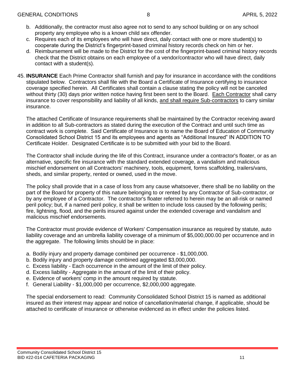- b. Additionally, the contractor must also agree not to send to any school building or on any school property any employee who is a known child sex offender.
- c. Requires each of its employees who will have direct, daily contact with one or more student(s) to cooperate during the District's fingerprint-based criminal history records check on him or her.
- d. Reimbursement will be made to the District for the cost of the fingerprint-based criminal history records check that the District obtains on each employee of a vendor/contractor who will have direct, daily contact with a student(s).
- 45. **INSURANCE** Each Prime Contractor shall furnish and pay for insurance in accordance with the conditions stipulated below. Contractors shall file with the Board a Certificate of Insurance certifying to insurance coverage specified herein. All Certificates shall contain a clause stating the policy will not be canceled without thirty (30) days prior written notice having first been sent to the Board. Each Contractor shall carry insurance to cover responsibility and liability of all kinds, and shall require Sub-contractors to carry similar insurance.

The attached Certificate of Insurance requirements shall be maintained by the Contractor receiving award in addition to all Sub-contractors as stated during the execution of the Contract and until such time as contract work is complete. Said Certificate of Insurance is to name the Board of Education of Community Consolidated School District 15 and its employees and agents as "Additional Insured" IN ADDITION TO Certificate Holder. Designated Certificate is to be submitted with your bid to the Board.

The Contractor shall include during the life of this Contract, insurance under a contractor's floater, or as an alternative, specific fire insurance with the standard extended coverage, a vandalism and malicious mischief endorsement on all Contractors' machinery, tools, equipment, forms scaffolding, trailers/vans, sheds, and similar property, rented or owned, used in the move.

The policy shall provide that in a case of loss from any cause whatsoever, there shall be no liability on the part of the Board for property of this nature belonging to or rented by any Contractor of Sub-contractor, or by any employee of a Contractor. The contractor's floater referred to herein may be an all-risk or named peril policy; but, if a named peril policy, it shall be written to include loss caused by the following perils; fire, lightning, flood, and the perils insured against under the extended coverage and vandalism and malicious mischief endorsements.

The Contractor must provide evidence of Workers' Compensation insurance as required by statute, auto liability coverage and an umbrella liability coverage of a minimum of \$5,000,000.00 per occurrence and in the aggregate. The following limits should be in place:

- a. Bodily injury and property damage combined per occurrence \$1,000,000.
- b. Bodily injury and property damage combined aggregated \$3,000,000.
- c. Excess liability Each occurrence in the amount of the limit of their policy.
- d. Excess liability Aggregate in the amount of the limit of their policy.
- e. Evidence of workers' comp in the amount required by statute.
- f. General Liability \$1,000,000 per occurrence, \$2,000,000 aggregate.

The special endorsement to read: Community Consolidated School District 15 is named as additional insured as their interest may appear and notice of cancellation/material change, if applicable, should be attached to certificate of insurance or otherwise evidenced as in effect under the policies listed.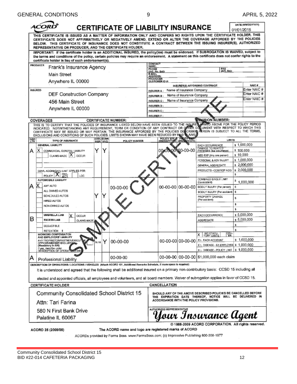|                                                                                                                                                                                                                                                                                                                                                                                                                                                                | <b>CERTIFICATE OF LIABILITY INSURANCE</b>             |                                        |                           |                                                                                                                            | 01/01/2015            | DATE (MM/DD/YYYY)     |
|----------------------------------------------------------------------------------------------------------------------------------------------------------------------------------------------------------------------------------------------------------------------------------------------------------------------------------------------------------------------------------------------------------------------------------------------------------------|-------------------------------------------------------|----------------------------------------|---------------------------|----------------------------------------------------------------------------------------------------------------------------|-----------------------|-----------------------|
| THIS CERTIFICATE IS ISSUED AS A MATTER OF INFORMATION ONLY AND CONFERS NO RIGHTS UPON THE CERTIFICATE HOLDER. THIS<br>CERTIFICATE DOES NOT AFFIRMATIVELY OR NEGATIVELY AMEND, EXTEND OR ALTER THE COVERAGE AFFORDED BY THE POLICIES<br>BELOW. THIS CERTIFICATE OF INSURANCE DOES NOT CONSTITUTE A CONTRACT BETWEEN THE ISSUING INSURER(S), AUTHORIZED<br>REPRESENTATIVE OR PRODUCER, AND THE CERTIFICATE HOLDER.                                               |                                                       |                                        |                           |                                                                                                                            |                       |                       |
| IMPORTANT: If the certificate holder is an ADDITIONAL INSURED, the policy(ies) must be endorsed. If SUBROGATION IS WAIVED, subject to<br>the terms and conditions of the policy, certain policies may require an endorsement. A statement on this certificate does not confer rights to the<br>certificate holder in lieu of such endorsement(s).                                                                                                              |                                                       |                                        |                           |                                                                                                                            |                       |                       |
| PRODUCER                                                                                                                                                                                                                                                                                                                                                                                                                                                       |                                                       | <b>CONTACT</b><br>NAME:                |                           |                                                                                                                            |                       |                       |
| Frank's Insurance Agency                                                                                                                                                                                                                                                                                                                                                                                                                                       |                                                       | PHONE<br>(A/C. No. Ext):<br>E-MAIL     |                           | FAX<br>(AC, Ne):                                                                                                           |                       |                       |
| Main Street                                                                                                                                                                                                                                                                                                                                                                                                                                                    |                                                       | ADDRESS.                               |                           |                                                                                                                            |                       |                       |
| Anywhere IL 00000                                                                                                                                                                                                                                                                                                                                                                                                                                              |                                                       | <b>PRODUCER</b><br>CUSTOMER ID #:      |                           |                                                                                                                            |                       |                       |
| <b>INSURED</b>                                                                                                                                                                                                                                                                                                                                                                                                                                                 |                                                       |                                        | Name of Insurance Company | INSURER(S) AFFORDING COVERAGE                                                                                              |                       | NAIC#<br>Enter NAIC # |
| DEF Construction Company                                                                                                                                                                                                                                                                                                                                                                                                                                       |                                                       | <b>INSURER A:</b><br>INSURER B:        | Name of Insurance Company |                                                                                                                            |                       | Enter NAIC #          |
| 456 Main Street                                                                                                                                                                                                                                                                                                                                                                                                                                                |                                                       | INSURER C:                             | Name of Insurance Company |                                                                                                                            |                       | Enter NAIC #          |
|                                                                                                                                                                                                                                                                                                                                                                                                                                                                |                                                       | INSURER D:                             |                           |                                                                                                                            |                       |                       |
| Anywhere IL 00000                                                                                                                                                                                                                                                                                                                                                                                                                                              |                                                       | <b>INSURER E:</b>                      |                           |                                                                                                                            |                       |                       |
|                                                                                                                                                                                                                                                                                                                                                                                                                                                                |                                                       | INSURER F:                             |                           |                                                                                                                            |                       |                       |
| COVERAGES                                                                                                                                                                                                                                                                                                                                                                                                                                                      | <b>CERTIFICATE NUMBER:</b>                            |                                        |                           | <b>REVISION NUMBER:</b>                                                                                                    |                       |                       |
| THIS IS TO CERTIFY THAT THE POLICIES OF INSURANCE LISTED BELOW HAVE BEEN ISSUED TO THE INSURED WATER ABOVE FOR THE POLICY PERIOD INDICATED. NOTWITHSTANDING ANY REQUIREMENT, TERM OR CONDITION OF ANY CONTRACT OR OFFICE DOED<br>CERTIFICATE MAY BE ISSUED OR MAY PERTAIN, THE INSURANCE AFFORDED BY THE POLICIES DESCRIBED PEREIN IS SUBJECT TO ALL THE TERMS,<br>EXCLUSIONS AND CONDITIONS OF SUCH POLICIES. LIMITS SHOWN MAY HAVE BEEN REDUCED BY RAID LAMS |                                                       |                                        |                           |                                                                                                                            |                       |                       |
| <b>ADDL SUBR</b><br><b>INSR</b><br>LTR<br>TYPE OF INSURANCE<br>INSR WVD                                                                                                                                                                                                                                                                                                                                                                                        | <b>POLICY NUMBER</b>                                  | POLICY EFF                             |                           | <b>LIMITS</b>                                                                                                              |                       |                       |
| GENERAL LIABILITY                                                                                                                                                                                                                                                                                                                                                                                                                                              |                                                       |                                        |                           | <b>EACH OCCURRENCE</b><br>DAMAGE TO RENTED<br>PREMISES (Ea coourrings)                                                     |                       | s 1,000,000           |
| Y<br>х<br>COMMERCIAL GENERAL LIABILITY<br>А                                                                                                                                                                                                                                                                                                                                                                                                                    |                                                       |                                        | <b>\OO\QO-00-00</b>       |                                                                                                                            | \$100,000<br>\$10,000 |                       |
| CLAIMS-MADE X CCCUR                                                                                                                                                                                                                                                                                                                                                                                                                                            |                                                       |                                        |                           | MED EXP (Any one person)<br>PERSONAL & ADV INJURY                                                                          |                       | s 1,000,000           |
|                                                                                                                                                                                                                                                                                                                                                                                                                                                                |                                                       |                                        |                           | GENERAL AGGREGATE                                                                                                          |                       | \$2,000,000           |
| GENL AGGREGATE LIMIT APPLIES PER:                                                                                                                                                                                                                                                                                                                                                                                                                              |                                                       |                                        |                           | PRODUCTS - COMP/OP AGG                                                                                                     |                       | \$2,000,000           |
| PRO-<br>POLICY   A<br>LOC-                                                                                                                                                                                                                                                                                                                                                                                                                                     |                                                       |                                        |                           |                                                                                                                            | s.                    |                       |
| AUTOMOBILE LIABILITY                                                                                                                                                                                                                                                                                                                                                                                                                                           |                                                       |                                        |                           | <b>COMBINED SINGLE LIMIT</b>                                                                                               |                       | \$1,000,000           |
| x<br>ANY AUTO<br>А                                                                                                                                                                                                                                                                                                                                                                                                                                             | 00-00-00                                              |                                        | 00-00-00 00-00-00         | (Ea eccident)<br>BODILY INJURY (Per person)                                                                                | s.                    |                       |
| ALL OWNED AUTOS                                                                                                                                                                                                                                                                                                                                                                                                                                                |                                                       |                                        |                           | BODILY INJURY (Par accident)                                                                                               | з                     |                       |
| Y<br>SCHEDULED AUTOS                                                                                                                                                                                                                                                                                                                                                                                                                                           |                                                       |                                        |                           | FROPERTY DAWAGE                                                                                                            | \$                    |                       |
| HIRED AUTOS                                                                                                                                                                                                                                                                                                                                                                                                                                                    |                                                       |                                        |                           | (Per and dent)                                                                                                             | s.                    |                       |
| NON-OWNED AUTOS                                                                                                                                                                                                                                                                                                                                                                                                                                                |                                                       |                                        |                           |                                                                                                                            | ŝ                     |                       |
| UMBRELLA LIAB                                                                                                                                                                                                                                                                                                                                                                                                                                                  |                                                       |                                        |                           |                                                                                                                            |                       | s 5.000.000           |
| <b>ODCLR</b><br>в<br>EXCESS LIAB                                                                                                                                                                                                                                                                                                                                                                                                                               |                                                       |                                        |                           | <b>EACH OCCURRENCE</b><br><b>AGGREGATE</b>                                                                                 |                       | \$5,000,000           |
| CLAIMS-MADE                                                                                                                                                                                                                                                                                                                                                                                                                                                    |                                                       |                                        |                           |                                                                                                                            | \$                    |                       |
| DEDUCTIBLE<br><b>RETENTION \$</b>                                                                                                                                                                                                                                                                                                                                                                                                                              |                                                       |                                        |                           |                                                                                                                            | 8                     |                       |
| WORKERS COMPENSATION                                                                                                                                                                                                                                                                                                                                                                                                                                           |                                                       |                                        |                           | 깳<br>WC STATU-<br>TORY LIMITS<br>x                                                                                         |                       |                       |
| AND EMPLOYERS' LIABILITY<br>ANY PROPRIETORPARTNER EXECUTIVE<br>'n/a Y                                                                                                                                                                                                                                                                                                                                                                                          | 00-00-00                                              |                                        |                           | 00-00-00 00-00-00 EL EACH ACCIDENT                                                                                         |                       | \$1,000,000           |
| OFFICER/MEMBER EXCLUDE AND<br>(Mandatory in NH)                                                                                                                                                                                                                                                                                                                                                                                                                |                                                       |                                        |                           | E.L. DISEASE - EA EMPLOYEE \$ 1,000,000                                                                                    |                       |                       |
| If yes, describe under<br>DESCRIPTION OF OPERATIONS belg                                                                                                                                                                                                                                                                                                                                                                                                       |                                                       |                                        |                           | EL DISEASE - POLICY LIMIT   \$ 1,000,000                                                                                   |                       |                       |
| А<br>Professional Liability                                                                                                                                                                                                                                                                                                                                                                                                                                    | 00-00-00                                              |                                        |                           | 00-00-00 00-00-00 S1,000,000 each claim                                                                                    |                       |                       |
| DESCRIPTION OF OPERATIONS/LOCATIONS/VEHICLES   Aftach ACORD 101, Additional Remarks Schedule, if more space is required)                                                                                                                                                                                                                                                                                                                                       |                                                       |                                        |                           |                                                                                                                            |                       |                       |
| It is understood and agreed that the following shall be additional insured on a primary non-contributory basis: CCSD 15 including all                                                                                                                                                                                                                                                                                                                          |                                                       |                                        |                           |                                                                                                                            |                       |                       |
|                                                                                                                                                                                                                                                                                                                                                                                                                                                                |                                                       |                                        |                           |                                                                                                                            |                       |                       |
| elected and appointed officials, all employees and volunteers, and all board members. Waiver of subrogation applies in favor of CCSD 15.                                                                                                                                                                                                                                                                                                                       |                                                       |                                        |                           |                                                                                                                            |                       |                       |
| <b>CERTIFICATE HOLDER</b>                                                                                                                                                                                                                                                                                                                                                                                                                                      |                                                       | CANCELLATION                           |                           |                                                                                                                            |                       |                       |
| Community Consolidated School District 15                                                                                                                                                                                                                                                                                                                                                                                                                      |                                                       |                                        |                           | SHOULD ANY OF THE ABOVE DESCRIBED POLICIES BE CANCELLED BEFORE<br>THE EXPIRATION DATE THEREOF, NOTICE WILL BE DELIVERED IN |                       |                       |
| Attn: Tari Farina                                                                                                                                                                                                                                                                                                                                                                                                                                              |                                                       | ACCORDANCE WITH THE POLICY PROVISIONS. |                           |                                                                                                                            |                       |                       |
| AUTHORIZED REPRESENTATIVE<br>580 N First Bank Drive                                                                                                                                                                                                                                                                                                                                                                                                            |                                                       |                                        |                           |                                                                                                                            |                       |                       |
| Palatine IL 60067                                                                                                                                                                                                                                                                                                                                                                                                                                              |                                                       |                                        |                           | Your Insurance Agent                                                                                                       |                       |                       |
| ACORD 25 (2009/09)                                                                                                                                                                                                                                                                                                                                                                                                                                             | The ACORD name and logo are registered marks of ACORD |                                        |                           | @ 1988-2009 ACORD CORPORATION. All rights reserved.                                                                        |                       |                       |

ACORDs provided by Forms Boss. www.FormsBoss.com; (c) Impressive Publishing 800-208-1977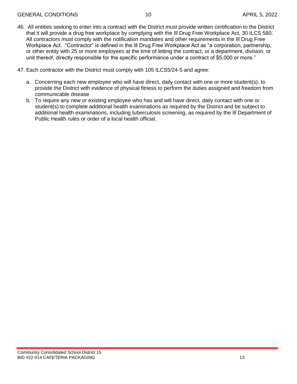- 46. All entities seeking to enter into a contract with the District must provide written certification to the District that it will provide a drug free workplace by complying with the Ill Drug Free Workplace Act, 30 ILCS 580. All contractors must comply with the notification mandates and other requirements in the Ill Drug Free Workplace Act. "Contractor" is defined in the Ill Drug Free Workplace Act as "a corporation, partnership, or other entity with 25 or more employees at the time of letting the contract, or a department, division, or unit thereof, directly responsible for the specific performance under a contract of \$5,000 or more."
- 47. Each contractor with the District must comply with 105 ILCS5/24-5 and agree:
	- a. Concerning each new employee who will have direct, daily contact with one or more student(s), to provide the District with evidence of physical fitness to perform the duties assigned and freedom from communicable disease
	- b. To require any new or existing employee who has and will have direct, daily contact with one or student(s) to complete additional health examinations as required by the District and be subject to additional health examinations, including tuberculosis screening, as required by the Ill Department of Public Health rules or order of a local health official.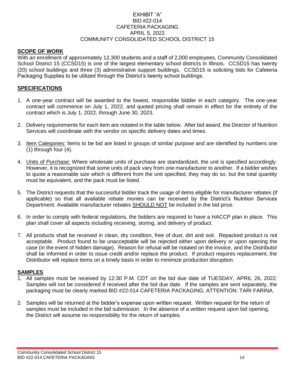#### EXHIBIT "A" BID #22-014 CAFETERIA PACKAGING APRIL 5, 2022 COMMUNITY CONSOLIDATED SCHOOL DISTRICT 15

#### **SCOPE OF WORK**

With an enrollment of approximately 12,300 students and a staff of 2,000 employees, Community Consolidated School District 15 (CCSD15) is one of the largest elementary school districts in Illinois. CCSD15 has twenty (20) school buildings and three (3) administrative support buildings. CCSD15 is soliciting bids for Cafeteria Packaging Supplies to be utilized through the District's twenty school buildings.

#### **SPECIFICATIONS**

- 1. A one-year contract will be awarded to the lowest, responsible bidder in each category. The one-year contract will commence on July 1, 2022, and quoted pricing shall remain in effect for the entirety of the contract which is July 1, 2022, through June 30, 2023.
- 2. Delivery requirements for each item are notated in the table below. After bid award, the Director of Nutrition Services will coordinate with the vendor on specific delivery dates and times.
- 3. Item Categories: Items to be bid are listed in groups of similar purpose and are identified by numbers one  $(1)$  through four  $(4)$ .
- 4. Units of Purchase: Where wholesale units of purchase are standardized, the unit is specified accordingly. However, it is recognized that some units of pack vary from one manufacturer to another. If a bidder wishes to quote a reasonable size which is different from the unit specified, they may do so, but the total quantity must be equivalent, and the pack must be listed.
- 5. The District requests that the successful bidder track the usage of items eligible for manufacturer rebates (if applicable) so that all available rebate monies can be received by the District's Nutrition Services Department. Available manufacturer rebates SHOULD NOT be included in the bid price.
- 6. In order to comply with federal regulations, the bidders are required to have a HACCP plan in place. This plan shall cover all aspects including receiving, storing, and delivery of product.
- 7. All products shall be received in clean, dry condition, free of dust, dirt and soil. Repacked product is not acceptable. Product found to be unacceptable will be rejected either upon delivery or upon opening the case (in the event of hidden damage). Reason for refusal will be notated on the invoice, and the Distributor shall be informed in order to issue credit and/or replace the product. If product requires replacement, the Distributor will replace items on a timely basis in order to minimize production disruption.

#### **SAMPLES**

- 1. All samples must be received by 12:30 P.M. CDT on the bid due date of TUESDAY, APRIL 26, 2022. Samples will not be considered if received after the bid due date. If the samples are sent separately, the packaging must be clearly marked BID #22-014 CAFETERIA PACKAGING, ATTENTION: TARI FARINA.
- 2. Samples will be returned at the bidder's expense upon written request. Written request for the return of samples must be included in the bid submission. In the absence of a written request upon bid opening, the District will assume no responsibility for the return of samples.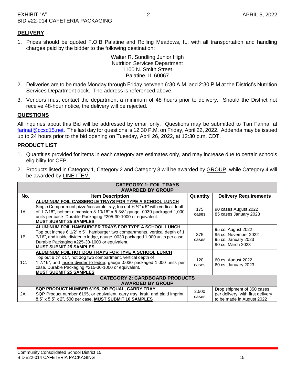#### **DELIVERY**

1. Prices should be quoted F.O.B Palatine and Rolling Meadows, IL, with all transportation and handling charges paid by the bidder to the following destination:

> Walter R. Sundling Junior High Nutrition Services Department 1100 N. Smith Street Palatine, IL 60067

- 2. Deliveries are to be made Monday through Friday between 6:30 A.M. and 2:30 P.M at the District's Nutrition Services Department dock. The address is referenced above.
- 3. Vendors must contact the department a minimum of 48 hours prior to delivery. Should the District not receive 48-hour notice, the delivery will be rejected.

#### **QUESTIONS**

All inquiries about this Bid will be addressed by email only. Questions may be submitted to Tari Farina, at [farinat@ccsd15.net.](mailto:farinat@ccsd15.net) The last day for questions is 12:30 P.M. on Friday, April 22, 2022. Addenda may be issued up to 24 hours prior to the bid opening on Tuesday, April 26, 2022, at 12:30 p.m. CDT.

#### **PRODUCT LIST**

- 1. Quantities provided for items in each category are estimates only, and may increase due to certain schools eligibility for CEP.
- 2. Products listed in Category 1, Category 2 and Category 3 will be awarded by GROUP, while Category 4 will be awarded by LINE ITEM.

| <b>CATEGORY 1: FOIL TRAYS</b>         |                                                                                                                                                                                                                                                                                                                                    |                |                                                                                              |  |  |  |
|---------------------------------------|------------------------------------------------------------------------------------------------------------------------------------------------------------------------------------------------------------------------------------------------------------------------------------------------------------------------------------|----------------|----------------------------------------------------------------------------------------------|--|--|--|
| <b>AWARDED BY GROUP</b>               |                                                                                                                                                                                                                                                                                                                                    |                |                                                                                              |  |  |  |
| No.                                   | <b>Item Description</b>                                                                                                                                                                                                                                                                                                            | Quantity       | <b>Delivery Requirements</b>                                                                 |  |  |  |
| 1A.                                   | ALUMINUM FOIL CASSEROLE TRAYS FOR TYPE A SCHOOL LUNCH<br>Single Compartment pizza/casserole tray, top out 6 $\frac{1}{2}$ " x 5" with vertical depth<br>of 1 7/16", bottom dimension 3 13/16" x 5 3/8" gauge .0030 packaged 1,000<br>units per case Durable Packaging #205-30-1000 or equivalent.<br><b>MUST SUBMIT 25 SAMPLES</b> | 175<br>cases   | 90 cases August 2022<br>85 cases January 2023                                                |  |  |  |
| 1B.                                   | ALUMINUM FOIL HAMBURGER TRAYS FOR TYPE A SCHOOL LUNCH<br>Top out inches 6 1/2" x 5", hamburger two compartments, vertical depth of 1<br>7/16", and inside divider to ledge, gauge .0030 packaged 1,000 units per case.<br>Durable Packaging #225-30-1000 or equivalent.<br><b>MUST SUBMIT 25 SAMPLES</b>                           | 375<br>cases   | 95 cs. August 2022<br>95 cs. November 2022<br>95 cs. January 2023<br>90 cs. March 2023       |  |  |  |
| 1C.                                   | ALUMINUM FOIL HOT DOG TRAYS FOR TYPE A SCHOOL LUNCH<br>Top out 6 $\frac{1}{2}$ " x 5", hot dog two compartment, vertical depth of<br>1 7/16", and inside divider to ledge, gauge .0030 packaged 1,000 units per<br>case. Durable Packaging #215-30-1000 or equivalent.<br><b>MUST SUBMIT 25 SAMPLES</b>                            | 120<br>cases   | 60 cs. August 2022<br>60 cs. January 2023                                                    |  |  |  |
| <b>CATEGORY 2: CARDBOARD PRODUCTS</b> |                                                                                                                                                                                                                                                                                                                                    |                |                                                                                              |  |  |  |
| <b>AWARDED BY GROUP</b>               |                                                                                                                                                                                                                                                                                                                                    |                |                                                                                              |  |  |  |
| 2A.                                   | SQP PRODUCT NUMBER 6195, OR EQUAL, CARRY TRAY<br>SQP Product number 6195, or equivalent, carry tray, kraft, and plaid imprint.<br>8.5" x 5.5" x 2", 500 per case. MUST SUBMIT 10 SAMPLES                                                                                                                                           | 2,500<br>cases | Drop shipment of 350 cases<br>per delivery, with first delivery<br>to be made in August 2022 |  |  |  |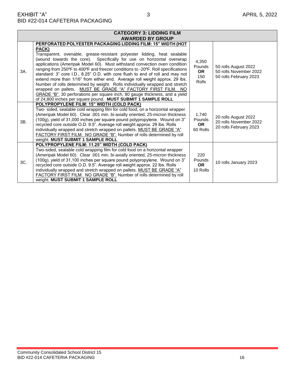|     | <b>CATEGORY 3: LIDDING FILM</b>                                                                                                                                                                                                                                                                                                                                                                                                                                                                                                                                                                                                                                                                                                                                                                                                                            |                                                     |                                                                          |  |  |  |  |
|-----|------------------------------------------------------------------------------------------------------------------------------------------------------------------------------------------------------------------------------------------------------------------------------------------------------------------------------------------------------------------------------------------------------------------------------------------------------------------------------------------------------------------------------------------------------------------------------------------------------------------------------------------------------------------------------------------------------------------------------------------------------------------------------------------------------------------------------------------------------------|-----------------------------------------------------|--------------------------------------------------------------------------|--|--|--|--|
|     | <b>AWARDED BY GROUP</b>                                                                                                                                                                                                                                                                                                                                                                                                                                                                                                                                                                                                                                                                                                                                                                                                                                    |                                                     |                                                                          |  |  |  |  |
| 3A. | PERFORATED POLYESTER PACKAGING LIDDING FILM: 15" WIDTH (HOT<br>PACK)<br>Transparent, ovenable, grease-resistant polyester lidding, heat sealable<br>(wound towards the core). Specifically for use on horizontal overwrap<br>applications (Ameripak Model 60). Must withstand convection oven condition<br>ranging from 250°F to 400°F and freezer conditions to -20°F. Roll specifications<br>standard: 3" core I.D., 8.25" O.D. with core flush to end of roll and may not<br>extend more than 1/16" from either end. Average roll weight approx. 29 lbs.<br>Number of rolls determined by weight. Rolls individually wrapped and stretch<br>wrapped on pallets. MUST BE GRADE "A" FACTORY FIRST FILM. NO<br>GRADE "B". 30 perforations per square inch, 80 gauge thickness, and a yield<br>of 24,800 inches per square pound. MUST SUBMIT 1 SAMPLE ROLL | 4,350<br>Pounds<br><b>OR</b><br>150<br><b>Rolls</b> | 50 rolls August 2022<br>50 rolls November 2022<br>50 rolls February 2023 |  |  |  |  |
| 3B. | POLYPROPYLENE FILM: 15" WIDTH (COLD PACK)<br>Two- sided, sealable cold wrapping film for cold food, on a horizontal wrapper<br>(Ameripak Model 60). Clear .001 min. bi-axially oriented, 25-micron thickness<br>(100g), yield of 31,000 inches per square pound polypropylene. Wound on 3"<br>recycled core outside O.D. 9.5". Average roll weight approx. 29 lbs. Rolls<br>individually wrapped and stretch wrapped on pallets. MUST BE GRADE "A"<br>FACTORY FIRST FILM. NO GRADE "B". Number of rolls determined by roll<br>weight. MUST SUBMIT 1 SAMPLE ROLL                                                                                                                                                                                                                                                                                            | 1,740<br>Pounds<br><b>OR</b><br>60 Rolls            | 20 rolls August 2022<br>20 rolls November 2022<br>20 rolls February 2023 |  |  |  |  |
| 3C. | POLYPROPYLENE FILM: 11.25" WIDTH (COLD PACK)<br>Two-sided, sealable cold wrapping film for cold food on a horizontal wrapper<br>(Ameripak Model 60). Clear .001 min. bi-axially oriented, 25-micron thickness<br>(100g), yield of 31,100 inches per square pound polypropylene. Wound on 3"<br>recycled core outside O.D. 9.5". Average roll weight approx. 22 lbs. Rolls<br>individually wrapped and stretch wrapped on pallets. MUST BE GRADE "A"<br>FACTORY FIRST FILM. NO GRADE "B". Number of rolls determined by roll<br>weight. MUST SUBMIT 1 SAMPLE ROLL                                                                                                                                                                                                                                                                                           | 220<br>Pounds<br><b>OR</b><br>10 Rolls              | 10 rolls January 2023                                                    |  |  |  |  |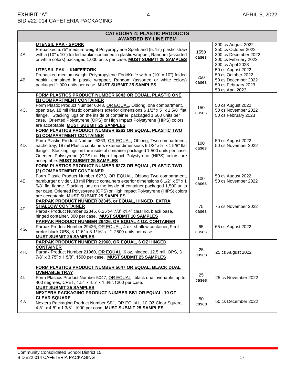|     | <b>CATEGORY 4: PLASTIC PRODUCTS</b><br><b>AWARDED BY LINE ITEM</b>                                                                                                                                                                                                                                                                                                                                                                                            |               |                                                                                                                |  |  |  |  |
|-----|---------------------------------------------------------------------------------------------------------------------------------------------------------------------------------------------------------------------------------------------------------------------------------------------------------------------------------------------------------------------------------------------------------------------------------------------------------------|---------------|----------------------------------------------------------------------------------------------------------------|--|--|--|--|
| 4A. | <b>UTENSIL PAK - SPORK</b><br>Prepacked 5.75" medium weight Polypropylene Spork and (5.75") plastic straw<br>with a (10" x 10") folded napkin contained in plastic wrapper, Random (assorted<br>or white colors) packaged 1,000 units per case. MUST SUBMIT 25 SAMPLES                                                                                                                                                                                        | 1550<br>cases | 300 cs August 2022<br>350 cs October 2022<br>300 cs December 2022<br>300 cs February 2023<br>300 cs April 2023 |  |  |  |  |
| 4B. | <b>UTENSIL PAK - KNIFE/FORK</b><br>Prepacked medium weight Polypropylene Fork/Knife with a (10" x 10") folded<br>napkin contained in plastic wrapper, Random (assorted or white colors)<br>packaged 1,000 units per case. MUST SUBMIT 25 SAMPLES                                                                                                                                                                                                              | 250<br>cases  | 50 cs August 2022<br>50 cs October 2022<br>50 cs December 2022<br>50 cs February 2023<br>50 cs April 2023      |  |  |  |  |
| 4C. | FORM PLASTICS PRODUCT NUMBER 6043 OR EQUAL, PLASTIC ONE<br>(1) COMPARTMENT CONTAINER<br>Form Plastic Product Number 6043, OR EQUAL, Oblong, one compartment,<br>open tray, 18 mil Plastic containers exterior dimensions 6 1/2" x 5" x 1 5/8" flat<br>flange. Stacking lugs on the inside of container, packaged 1,500 units per<br>case. Oriented Polystyrene (OPS) or High Impact Polystyrene (HIPS) colors<br>are acceptable. MUST SUBMIT 25 SAMPLES       | 150<br>cases  | 50 cs August 2022<br>50 cs November 2022<br>50 cs February 2023                                                |  |  |  |  |
| 4D. | FORM PLASTICS PRODUCT NUMBER 6263 OR EQUAL, PLASTIC TWO<br>(2) COMPARTMENT CONTAINER<br>Form Plastic Product Number 6263, OR EQUAL, Oblong, Two compartment,<br>nacho tray, 18 mil Plastic containers exterior dimensions 6 1/2" x 5" x 1 5/8" flat<br>flange. Stacking lugs on the inside of container packaged 1,500 units per case.<br>Oriented Polystyrene (OPS) or High Impact Polystyrene (HIPS) colors are<br>acceptable. MUST SUBMIT 25 SAMPLES       | 100<br>cases  | 50 cs August 2022<br>50 cs November 2022                                                                       |  |  |  |  |
| 4E. | FORM PLASTICS PRODUCT NUMBER 6273 OR EQUAL, PLASTIC TWO<br>(2) COMPARTMENT CONTAINER<br>Form Plastic Product Number 6273, OR EQUAL, Oblong Two compartment,<br>hamburger divider, 18 mil Plastic containers exterior dimensions 6 1/2" x 5" x 1<br>5/8" flat flange. Stacking lugs on the inside of container packaged 1,500 units<br>per case. Oriented Polystyrene (OPS) or High Impact Polystyrene (HIPS) colors<br>are acceptable. MUST SUBMIT 25 SAMPLES | 100<br>cases  | 50 cs August 2022<br>50 cs November 2022                                                                       |  |  |  |  |
| 4F. | PARPAK PRODUCT NUMBER 02345, or EQUAL, HINGED, EXTRA<br><b>SHALLOW CONTAINER</b><br>Parpak Product Number 02345, 6.25"x4 7/8" x1.4" clear lid, black base,<br>hinged container, 300 per case. MUST SUBMIT 10 SAMPLES                                                                                                                                                                                                                                          | 75<br>cases   | 75 cs November 2022                                                                                            |  |  |  |  |
| 4G. | PARPAK PRODUCT NUMBER 29426, OR EQUAL 4 OZ. CONTAINER<br>Parpak Product Number 29426, OR EQUAL, 4 oz. shallow container, 9 mil,<br>prefer black OPS, 3 1/16" x 3 1/16" x 1". 2500 units per case<br><b>MUST SUBMIT 25 SAMPLES</b>                                                                                                                                                                                                                             | 65<br>cases   | 65 cs August 2022                                                                                              |  |  |  |  |
| 4H. | PARPAK PRODUCT NUMBER 21960, OR EQUAL, 6 OZ HINGED<br><u>CONTAINER</u><br>Parpak Product Number 21960, OR EQUAL, 6 oz. hinged, 12.5 mil. OPS, 3<br>7/8" x 3.75" x 1 5/8", 1500 per case. MUST SUBMIT 25 SAMPLES                                                                                                                                                                                                                                               | 25<br>cases   | 25 cs August 2022                                                                                              |  |  |  |  |
| 4I. | <b>FORM PLASTICS PRODUCT NUMBER 5047 OR EQUAL, BLACK DUAL</b><br><b>OVENABLE TRAY</b><br>Form Plastics Product Number 5047, OR EQUAL, black dual ovenable, up to<br>400 degrees, CPET, 4.5" x 4.5" x 1 3/8".1200 per case.<br><b>MUST SUBMIT 25 SAMPLES</b>                                                                                                                                                                                                   | 25<br>cases   | 25 cs November 2022                                                                                            |  |  |  |  |
| 4J. | <b>NEXTERA PACKAGING PRODUCT NUMBER SB1 OR EQUAL, 10 OZ</b><br><b>CLEAR SQUARE</b><br>Nextera Packaging Product Number SB1, OR EQUAL, 10 OZ Clear Square,<br>4.5" x 4.5" x 1 3/8". 1000 per case. MUST SUBMIT 25 SAMPLES                                                                                                                                                                                                                                      | 50<br>cases   | 50 cs December 2022                                                                                            |  |  |  |  |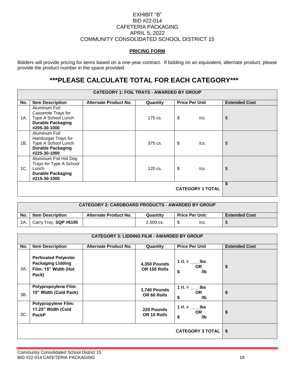#### EXHIBIT "B" BID #22-014 CAFETERIA PACKAGING APRIL 5, 2022 COMMUNITY CONSOLIDATED SCHOOL DISTRICT 15

#### **PRICING FORM**

Bidders will provide pricing for items based on a one-year contract. If bidding on an equivalent, alternate product, please provide the product number in the space provided.

### **\*\*\*PLEASE CALCULATE TOTAL FOR EACH CATEGORY\*\*\***

| <b>CATEGORY 1: FOIL TRAYS - AWARDED BY GROUP</b> |                                                                                                         |                       |          |                       |               |                      |
|--------------------------------------------------|---------------------------------------------------------------------------------------------------------|-----------------------|----------|-----------------------|---------------|----------------------|
| No.                                              | <b>Item Description</b>                                                                                 | Alternate Product No. | Quantity | <b>Price Per Unit</b> |               | <b>Extended Cost</b> |
| 1A.                                              | Aluminum Foil<br>Casserole Trays for<br>Type A School Lunch<br><b>Durable Packaging</b><br>#205-30-1000 |                       | 175 cs.  | \$                    | $\sqrt{cs}$ . | \$                   |
| 1B.                                              | Aluminum Foil<br>Hamburger Trays for<br>Type A School Lunch<br><b>Durable Packaging</b><br>#225-30-1000 |                       | 375 cs.  | \$                    | $\sqrt{cs}$ . | \$                   |
| 1C.                                              | Aluminum Foil Hot Dog<br>Trays for Type A School<br>Lunch<br><b>Durable Packaging</b><br>#215-30-1000   |                       | 120 cs.  | \$                    | $\sqrt{cs}$ . | \$                   |
| <b>CATEGORY 1 TOTAL</b>                          |                                                                                                         |                       |          |                       | \$            |                      |

| <b>CATEGORY 2: CARDBOARD PRODUCTS - AWARDED BY GROUP</b> |                         |                       |                     |                       |                      |
|----------------------------------------------------------|-------------------------|-----------------------|---------------------|-----------------------|----------------------|
| No.                                                      | <b>Item Description</b> | Alternate Product No. | Quantity            | <b>Price Per Unit</b> | <b>Extended Cost</b> |
| 2A.                                                      | Carry Tray, SQP #6195   |                       | $2.500 \text{ cs}.$ | $\prime$ cs.          | \$                   |

| <b>CATEGORY 3: LIDDING FILM - AWARDED BY GROUP</b> |                                                                                          |                              |                              |                                               |                      |
|----------------------------------------------------|------------------------------------------------------------------------------------------|------------------------------|------------------------------|-----------------------------------------------|----------------------|
| No.                                                | <b>Item Description</b>                                                                  | <b>Alternate Product No.</b> | Quantity                     | <b>Price Per Unit</b>                         | <b>Extended Cost</b> |
| 3A.                                                | <b>Perforated Polyester</b><br><b>Packaging Lidding</b><br>Film: 15" Width (Hot<br>Pack) |                              | 4,350 Pounds<br>OR 150 Rolls | $1 \text{ r}$ . Ibs<br><b>OR</b><br>\$<br>/lb | \$                   |
| 3B.                                                | <b>Polypropoylene Film:</b><br>15" Width (Cold Pack)                                     |                              | 1,740 Pounds<br>OR 60 Rolls  | 1 $rl. =$<br>lbs<br><b>OR</b><br>\$<br>/lb    | \$                   |
| 3C.                                                | <b>Polypropylene Film:</b><br>11.25" Width (Cold<br><b>PackP</b>                         |                              | 220 Pounds<br>OR 10 Rolls    | 1 $rl. =$<br>lbs<br>OR.<br>\$<br>/lb          | \$                   |
| <b>CATEGORY 3 TOTAL   \$</b>                       |                                                                                          |                              |                              |                                               |                      |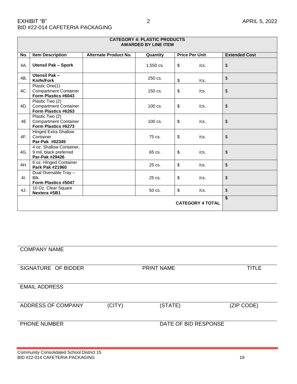#### EXHIBIT "B" 2 APRIL 5, 2022 BID #22-014 CAFETERIA PACKAGING

| <b>CATEGORY 4: PLASTIC PRODUCTS</b><br><b>AWARDED BY LINE ITEM</b> |                                                                        |                              |                     |                           |               |                      |
|--------------------------------------------------------------------|------------------------------------------------------------------------|------------------------------|---------------------|---------------------------|---------------|----------------------|
| No.                                                                | <b>Item Description</b>                                                | <b>Alternate Product No.</b> | Quantity            | <b>Price Per Unit</b>     |               | <b>Extended Cost</b> |
| 4A.                                                                | <b>Utensil Pak - Spork</b>                                             |                              | $1,550 \text{ cs}.$ | \$                        | $\sqrt{cs}$ . | \$                   |
| 4B.                                                                | Utensil Pak-<br><b>Knife/Fork</b>                                      |                              | 250 cs.             | $\boldsymbol{\mathsf{S}}$ | $/cs$ .       | \$                   |
| 4C.                                                                | Plastic One(1)<br><b>Compartment Container</b><br>Form Plastics #6043  |                              | 150 cs.             | \$                        | $\sqrt{cs}$ . | \$                   |
| 4D.                                                                | Plastic Two (2)<br><b>Compartment Container</b><br>Form Plastics #6263 |                              | $100 \text{ cs}.$   | \$                        | $\sqrt{cs}$ . | \$                   |
| 4E                                                                 | Plastic Two (2)<br><b>Compartment Container</b><br>Form Plastics #6273 |                              | $100 \text{ cs.}$   | \$                        | /cs.          | \$                   |
| 4F.                                                                | <b>Hinged Extra Shallow</b><br>Container<br>Par-Pak #02345             |                              | 75 cs.              | \$                        | $\sqrt{cs}$ . | \$                   |
| 4G.                                                                | 4 oz. Shallow Container,<br>9 mil, black preferred<br>Par-Pak #29426   |                              | 65 cs.              | \$                        | $\sqrt{cs}$ . | \$                   |
| 4H.                                                                | 6 oz. Hinged Container<br><b>Park Pak #21960</b>                       |                              | 25 cs.              | \$                        | $\sqrt{cs}$ . | \$                   |
| 4l.                                                                | Dual Ovenable Tray -<br>Blk.<br>Form Plastics #5047                    |                              | 25 cs.              | \$                        | $\sqrt{cs}$ . | \$                   |
| 4J.                                                                | 10 Oz. Clear Square<br>Nextera #SB1                                    |                              | 50 cs.              | \$                        | $\sqrt{cs}$ . | \$                   |
| <b>CATEGORY 4 TOTAL</b>                                            |                                                                        |                              |                     |                           | \$            |                      |

COMPANY NAME

| SIGNATURE OF BIDDER  |        | <b>PRINT NAME</b>    | <b>TITLE</b> |
|----------------------|--------|----------------------|--------------|
| <b>EMAIL ADDRESS</b> |        |                      |              |
| ADDRESS OF COMPANY   | (CITY) | (STATE)              | (ZIP CODE)   |
| <b>PHONE NUMBER</b>  |        | DATE OF BID RESPONSE |              |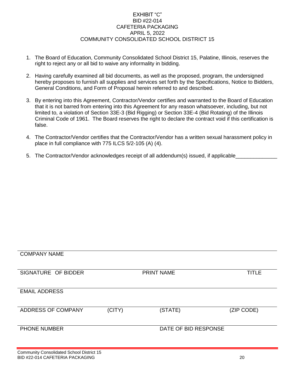#### EXHIBIT "C" BID #22-014 CAFETERIA PACKAGING APRIL 5, 2022 COMMUNITY CONSOLIDATED SCHOOL DISTRICT 15

- 1. The Board of Education, Community Consolidated School District 15, Palatine, Illinois, reserves the right to reject any or all bid to waive any informality in bidding.
- 2. Having carefully examined all bid documents, as well as the proposed, program, the undersigned hereby proposes to furnish all supplies and services set forth by the Specifications, Notice to Bidders, General Conditions, and Form of Proposal herein referred to and described.
- 3. By entering into this Agreement, Contractor/Vendor certifies and warranted to the Board of Education that it is not barred from entering into this Agreement for any reason whatsoever, including, but not limited to, a violation of Section 33E-3 (Bid Rigging) or Section 33E-4 (Bid Rotating) of the Illinois Criminal Code of 1961. The Board reserves the right to declare the contract void if this certification is false.
- 4. The Contractor/Vendor certifies that the Contractor/Vendor has a written sexual harassment policy in place in full compliance with 775 ILCS 5/2-105 (A) (4).
- 5. The Contractor/Vendor acknowledges receipt of all addendum(s) issued, if applicable

| <b>COMPANY NAME</b>                                                                                                 |        |                      |              |
|---------------------------------------------------------------------------------------------------------------------|--------|----------------------|--------------|
| SIGNATURE OF BIDDER                                                                                                 |        | <b>PRINT NAME</b>    | <b>TITLE</b> |
| <b>EMAIL ADDRESS</b>                                                                                                |        |                      |              |
| ADDRESS OF COMPANY                                                                                                  | (CITY) | (STATE)              | (ZIP CODE)   |
| <b>PHONE NUMBER</b>                                                                                                 |        | DATE OF BID RESPONSE |              |
| $Q_2$ are according $Q_2$ and $\alpha$ is the final $Q_2$ is a set $D_2^*$ and $\alpha$ is the final order of $Q_2$ |        |                      |              |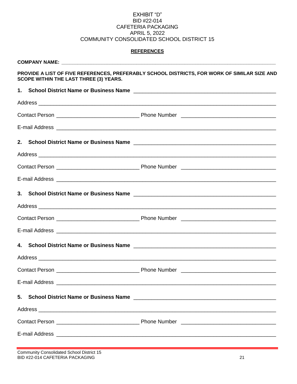#### EXHIBIT "D" BID #22-014 CAFETERIA PACKAGING APRIL 5, 2022 COMMUNITY CONSOLIDATED SCHOOL DISTRICT 15

#### **REFERENCES**

| PROVIDE A LIST OF FIVE REFERENCES, PREFERABLY SCHOOL DISTRICTS, FOR WORK OF SIMILAR SIZE AND<br>SCOPE WITHIN THE LAST THREE (3) YEARS. |  |  |  |  |
|----------------------------------------------------------------------------------------------------------------------------------------|--|--|--|--|
|                                                                                                                                        |  |  |  |  |
|                                                                                                                                        |  |  |  |  |
| Contact Person <b>contact Person</b> 2011 Contact Person 2012 Contact Person 2012 Contact Person 2012 Contact Person 2012              |  |  |  |  |
|                                                                                                                                        |  |  |  |  |
|                                                                                                                                        |  |  |  |  |
|                                                                                                                                        |  |  |  |  |
| Contact Person <b>CONSERVING CONSERVERS</b> Phone Number <b>CONSERVING CONSERVERS</b>                                                  |  |  |  |  |
| E-mail Address experience and the contract of the contract of the contract of the contract of the contract of                          |  |  |  |  |
|                                                                                                                                        |  |  |  |  |
|                                                                                                                                        |  |  |  |  |
| Contact Person <b>CONSERVING CONSERVERSION</b> Phone Number <b>CONSERVING CONSERVERSION</b>                                            |  |  |  |  |
|                                                                                                                                        |  |  |  |  |
|                                                                                                                                        |  |  |  |  |
|                                                                                                                                        |  |  |  |  |
| Contact Person <b>Contact Person</b> 2008 Contact Person 2012 Contact Person 2012 Contact Person 2012 Contact Person 2012              |  |  |  |  |
|                                                                                                                                        |  |  |  |  |
|                                                                                                                                        |  |  |  |  |
|                                                                                                                                        |  |  |  |  |
|                                                                                                                                        |  |  |  |  |
|                                                                                                                                        |  |  |  |  |
|                                                                                                                                        |  |  |  |  |

Community Consolidated School District 15 BID #22-014 CAFETERIA PACKAGING 21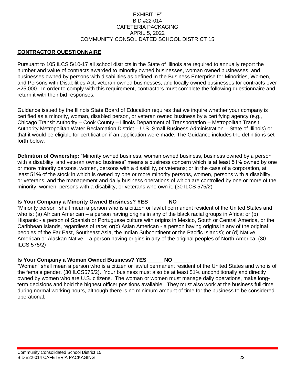#### EXHIBIT "E" BID #22-014 CAFETERIA PACKAGING APRIL 5, 2022 COMMUNITY CONSOLIDATED SCHOOL DISTRICT 15

#### **CONTRACTOR QUESTIONNAIRE**

Pursuant to 105 ILCS 5/10-17 all school districts in the State of Illinois are required to annually report the number and value of contracts awarded to minority owned businesses, woman owned businesses, and businesses owned by persons with disabilities as defined in the Business Enterprise for Minorities, Women, and Persons with Disabilities Act; veteran owned businesses, and locally owned businesses for contracts over \$25,000. In order to comply with this requirement, contractors must complete the following questionnaire and return it with their bid responses.

Guidance issued by the Illinois State Board of Education requires that we inquire whether your company is certified as a minority, woman, disabled person, or veteran owned business by a certifying agency (e.g., Chicago Transit Authority – Cook County – Illinois Department of Transportation – Metropolitan Transit Authority Metropolitan Water Reclamation District – U.S. Small Business Administration – State of Illinois) or that it would be eligible for certification if an application were made. The Guidance includes the definitions set forth below.

**Definition of Ownership:** "Minority owned business, woman owned business, business owned by a person with a disability, and veteran owned business" means a business concern which is at least 51% owned by one or more minority persons, women, persons with a disability, or veterans; or in the case of a corporation, at least 51% of the stock in which is owned by one or more minority persons, women, persons with a disability, or veterans, and the management and daily business operations of which are controlled by one or more of the minority, women, persons with a disability, or veterans who own it. (30 ILCS 575/2)

#### **Is Your Company a Minority Owned Business? YES \_\_\_\_\_\_ NO \_\_\_\_\_\_**

"Minority person" shall mean a person who is a citizen or lawful permanent resident of the United States and who is: (a) African American – a person having origins in any of the black racial groups in Africa; or (b) Hispanic - a person of Spanish or Portuguese culture with origins in Mexico, South or Central America, or the Caribbean Islands, regardless of race; or(c) Asian American - a person having origins in any of the original peoples of the Far East, Southeast Asia, the Indian Subcontinent or the Pacific Islands); or (d) Native American or Alaskan Native – a person having origins in any of the original peoples of North America. (30 ILCS 575/2)

#### **Is Your Company a Woman Owned Business? YES \_\_\_\_\_ NO \_\_\_\_\_\_**

"Woman" shall mean a person who is a citizen or lawful permanent resident of the United States and who is of the female gender. (30 ILCS575/2). Your business must also be at least 51% unconditionally and directly owned by women who are U.S. citizens. The woman or women must manage daily operations, make longterm decisions and hold the highest officer positions available. They must also work at the business full-time during normal working hours, although there is no minimum amount of time for the business to be considered operational.